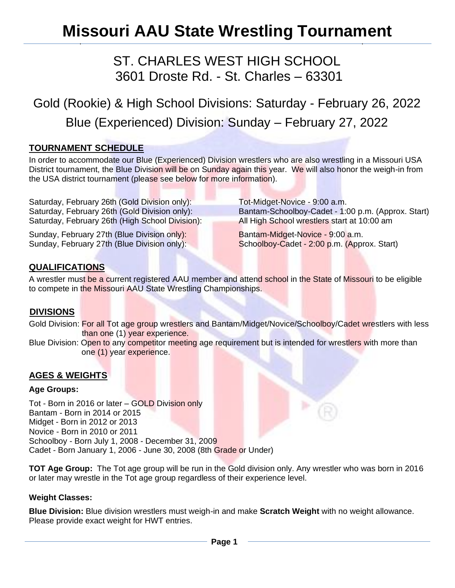# **Missouri AAU State Wrestling Tournament**

# ST. CHARLES WEST HIGH SCHOOL 3601 Droste Rd. - St. Charles – 63301

# Gold (Rookie) & High School Divisions: Saturday - February 26, 2022 Blue (Experienced) Division: Sunday – February 27, 2022

## **TOURNAMENT SCHEDULE**

In order to accommodate our Blue (Experienced) Division wrestlers who are also wrestling in a Missouri USA District tournament, the Blue Division will be on Sunday again this year. We will also honor the weigh-in from the USA district tournament (please see below for more information).

Saturday, February 26th (Gold Division only): Tot-Midget-Novice - 9:00 a.m. Saturday, February 26th (High School Division): All High School wrestlers start at 10:00 am

Sunday, February 27th (Blue Division only): Bantam-Midget-Novice - 9:00 a.m. Sunday, February 27th (Blue Division only): Schoolboy-Cadet - 2:00 p.m. (Approx. Start)

Saturday, February 26th (Gold Division only): Bantam-Schoolboy-Cadet - 1:00 p.m. (Approx. Start)

# **QUALIFICATIONS**

A wrestler must be a current registered AAU member and attend school in the State of Missouri to be eligible to compete in the Missouri AAU State Wrestling Championships.

# **DIVISIONS**

Gold Division: For all Tot age group wrestlers and Bantam/Midget/Novice/Schoolboy/Cadet wrestlers with less than one (1) year experience.

Blue Division: Open to any competitor meeting age requirement but is intended for wrestlers with more than one (1) year experience.

## **AGES & WEIGHTS**

#### **Age Groups:**

Tot - Born in 2016 or later – GOLD Division only Bantam - Born in 2014 or 2015 Midget - Born in 2012 or 2013 Novice - Born in 2010 or 2011 Schoolboy - Born July 1, 2008 - December 31, 2009 Cadet - Born January 1, 2006 - June 30, 2008 (8th Grade or Under)

**TOT Age Group:** The Tot age group will be run in the Gold division only. Any wrestler who was born in 2016 or later may wrestle in the Tot age group regardless of their experience level.

#### **Weight Classes:**

**Blue Division:** Blue division wrestlers must weigh-in and make **Scratch Weight** with no weight allowance. Please provide exact weight for HWT entries.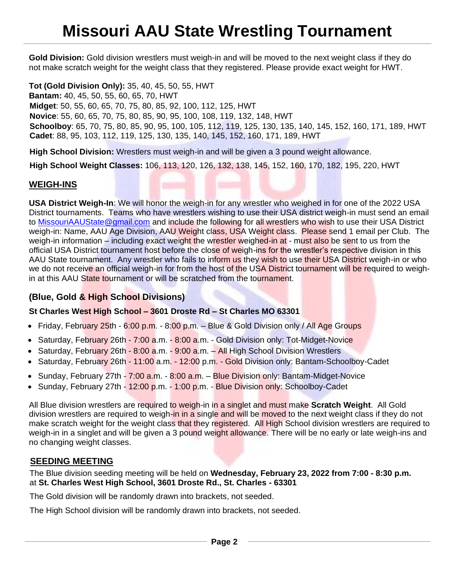# **Missouri AAU State Wrestling Tournament**

**Gold Division:** Gold division wrestlers must weigh-in and will be moved to the next weight class if they do not make scratch weight for the weight class that they registered. Please provide exact weight for HWT.

**Tot (Gold Division Only):** 35, 40, 45, 50, 55, HWT **Bantam:** 40, 45, 50, 55, 60, 65, 70, HWT **Midget**: 50, 55, 60, 65, 70, 75, 80, 85, 92, 100, 112, 125, HWT **Novice**: 55, 60, 65, 70, 75, 80, 85, 90, 95, 100, 108, 119, 132, 148, HWT **Schoolboy**: 65, 70, 75, 80, 85, 90, 95, 100, 105, 112, 119, 125, 130, 135, 140, 145, 152, 160, 171, 189, HWT **Cadet**: 88, 95, 103, 112, 119, 125, 130, 135, 140, 145, 152, 160, 171, 189, HWT

**High School Division:** Wrestlers must weigh-in and will be given a 3 pound weight allowance.

**High School Weight Classes:** 106, 113, 120, 126, 132, 138, 145, 152, 160, 170, 182, 195, 220, HWT

#### **WEIGH-INS**

**USA District Weigh-In**: We will honor the weigh-in for any wrestler who weighed in for one of the 2022 USA District tournaments. Teams who have wrestlers wishing to use their USA district weigh-in must send an email to [MissouriAAUState@gmail.com](mailto:MissouriAAUState@gmail.com) and include the following for all wrestlers who wish to use their USA District weigh-in: Name, AAU Age Division, AAU Weight class, USA Weight class. Please send 1 email per Club. The weigh-in information – including exact weight the wrestler weighed-in at - must also be sent to us from the official USA District tournament host before the close of weigh-ins for the wrestler's respective division in this AAU State tournament. Any wrestler who fails to inform us they wish to use their USA District weigh-in or who we do not receive an official weigh-in for from the host of the USA District tournament will be required to weighin at this AAU State tournament or will be scratched from the tournament.

#### **(Blue, Gold & High School Divisions)**

#### **St Charles West High School – 3601 Droste Rd – St Charles MO 63301**

- Friday, February 25th 6:00 p.m. 8:00 p.m. Blue & Gold Division only / All Age Groups
- Saturday, February 26th 7:00 a.m. 8:00 a.m. Gold Division only: Tot-Midget-Novice
- Saturday, February 26th 8:00 a.m. 9:00 a.m. All High School Division Wrestlers
- Saturday, February 26th 11:00 a.m. 12:00 p.m. Gold Division only: Bantam-Schoolboy-Cadet
- Sunday, February 27th 7:00 a.m. 8:00 a.m. Blue Division only: Bantam-Midget-Novice
- Sunday, February 27th 12:00 p.m. 1:00 p.m. Blue Division only: Schoolboy-Cadet

All Blue division wrestlers are required to weigh-in in a singlet and must make **Scratch Weight**. All Gold division wrestlers are required to weigh-in in a single and will be moved to the next weight class if they do not make scratch weight for the weight class that they registered. All High School division wrestlers are required to weigh-in in a singlet and will be given a 3 pound weight allowance. There will be no early or late weigh-ins and no changing weight classes.

#### **SEEDING MEETING**

The Blue division seeding meeting will be held on **Wednesday, February 23, 2022 from 7:00 - 8:30 p.m.** at **St. Charles West High School, 3601 Droste Rd., St. Charles - 63301**

The Gold division will be randomly drawn into brackets, not seeded.

The High School division will be randomly drawn into brackets, not seeded.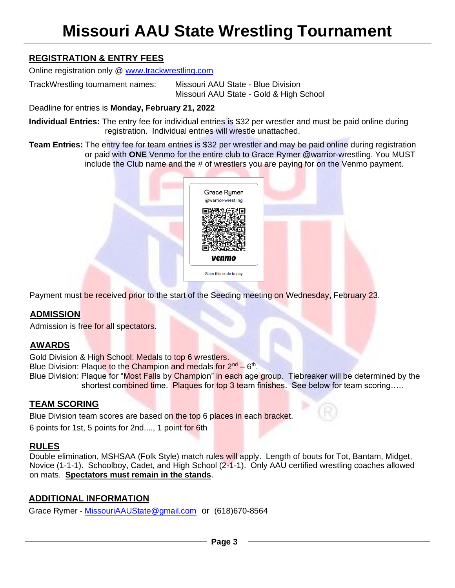# **Missouri AAU State Wrestling Tournament**

# **REGISTRATION & ENTRY FEES**

Online registration only @ [www.trackwrestling.com](http://www.trackwrestling.com/)

TrackWrestling tournament names: Missouri AAU State - Blue Division Missouri AAU State - Gold & High School

Deadline for entries is **Monday, February 21, 2022**

**Individual Entries:** The entry fee for individual entries is \$32 per wrestler and must be paid online during registration. Individual entries will wrestle unattached.

**Team Entries:** The entry fee for team entries is \$32 per wrestler and may be paid online during registration or paid with **ONE** Venmo for the entire club to Grace Rymer @warrior-wrestling. You MUST include the Club name and the # of wrestlers you are paying for on the Venmo payment.



Payment must be received prior to the start of the Seeding meeting on Wednesday, February 23.

# **ADMISSION**

Admission is free for all spectators.

## **AWARDS**

Gold Division & High School: Medals to top 6 wrestlers.

Blue Division: Plaque to the Champion and medals for 2<sup>nd</sup> – 6<sup>th</sup>.

Blue Division: Plaque for "Most Falls by Champion" in each age group. Tiebreaker will be determined by the shortest combined time. Plaques for top 3 team finishes. See below for team scoring....

# **TEAM SCORING**

Blue Division team scores are based on the top 6 places in each bracket.

6 points for 1st, 5 points for 2nd...., 1 point for 6th

## **RULES**

Double elimination, MSHSAA (Folk Style) match rules will apply. Length of bouts for Tot, Bantam, Midget, Novice (1-1-1). Schoolboy, Cadet, and High School (2-1-1). Only AAU certified wrestling coaches allowed on mats. **Spectators must remain in the stands**.

## **ADDITIONAL INFORMATION**

Grace Rymer - [MissouriAAUState@gmail.com](mailto:MissouriAAUState@gmail.com) or (618)670-8564